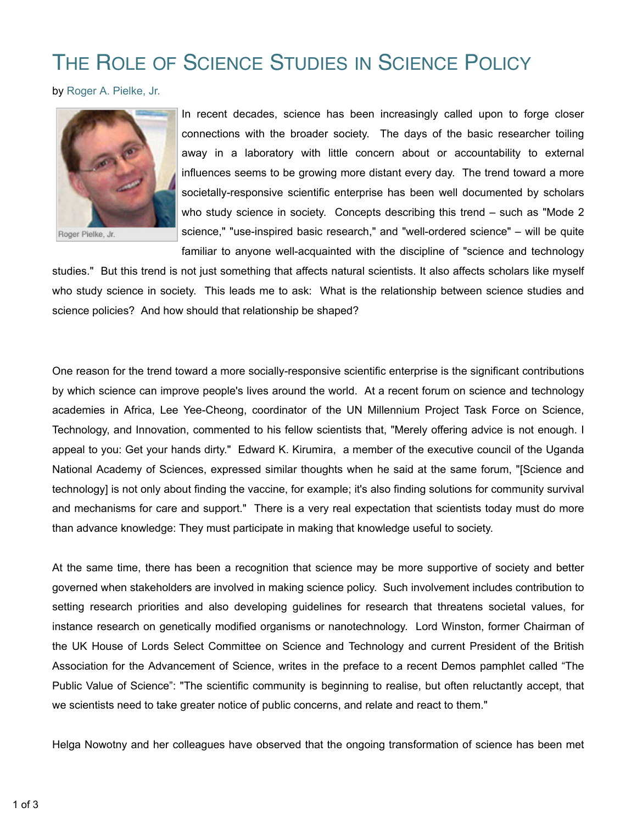## THE ROLE OF SCIENCE STUDIES IN SCIENCE POLICY

by Roger A. Pielke, Jr.



Roger Pielke, Jr.

In recent decades, science has been increasingly called upon to forge closer connections with the broader society. The days of the basic researcher toiling away in a laboratory with little concern about or accountability to external influences seems to be growing more distant every day. The trend toward a more societally-responsive scientific enterprise has been well documented by scholars who study science in society. Concepts describing this trend – such as "Mode 2 science," "use-inspired basic research," and "well-ordered science" – will be quite familiar to anyone well-acquainted with the discipline of "science and technology

studies." But this trend is not just something that affects natural scientists. It also affects scholars like myself who study science in society. This leads me to ask: What is the relationship between science studies and science policies? And how should that relationship be shaped?

One reason for the trend toward a more socially-responsive scientific enterprise is the significant contributions by which science can improve people's lives around the world. At a recent forum on science and technology academies in Africa, Lee Yee-Cheong, coordinator of the UN Millennium Project Task Force on Science, Technology, and Innovation, commented to his fellow scientists that, "Merely offering advice is not enough. I appeal to you: Get your hands dirty." Edward K. Kirumira, a member of the executive council of the Uganda National Academy of Sciences, expressed similar thoughts when he said at the same forum, "[Science and technology] is not only about finding the vaccine, for example; it's also finding solutions for community survival and mechanisms for care and support." There is a very real expectation that scientists today must do more than advance knowledge: They must participate in making that knowledge useful to society.

At the same time, there has been a recognition that science may be more supportive of society and better governed when stakeholders are involved in making science policy. Such involvement includes contribution to setting research priorities and also developing guidelines for research that threatens societal values, for instance research on genetically modified organisms or nanotechnology. Lord Winston, former Chairman of the UK House of Lords Select Committee on Science and Technology and current President of the British Association for the Advancement of Science, writes in the preface to a recent Demos pamphlet called "The Public Value of Science": "The scientific community is beginning to realise, but often reluctantly accept, that we scientists need to take greater notice of public concerns, and relate and react to them."

Helga Nowotny and her colleagues have observed that the ongoing transformation of science has been met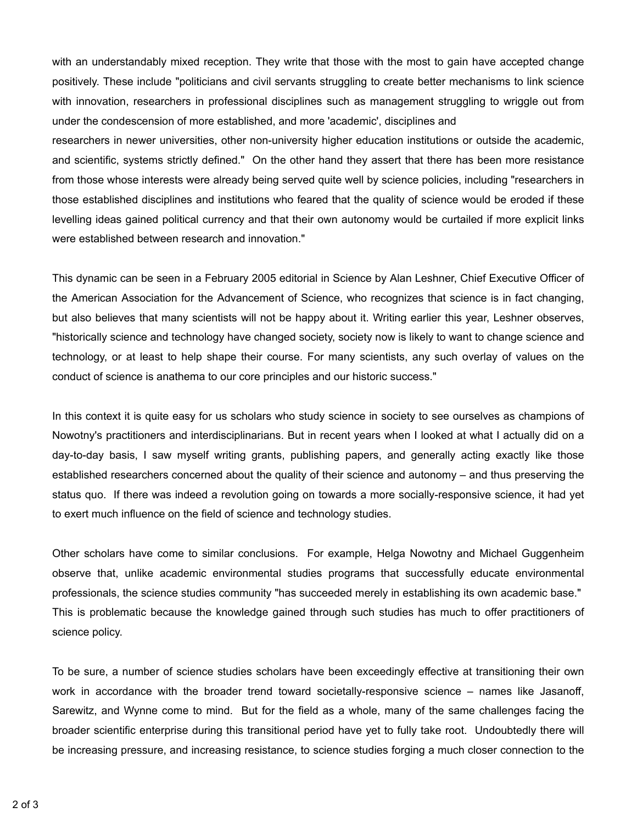with an understandably mixed reception. They write that those with the most to gain have accepted change positively. These include "politicians and civil servants struggling to create better mechanisms to link science with innovation, researchers in professional disciplines such as management struggling to wriggle out from under the condescension of more established, and more 'academic', disciplines and

researchers in newer universities, other non-university higher education institutions or outside the academic, and scientific, systems strictly defined." On the other hand they assert that there has been more resistance from those whose interests were already being served quite well by science policies, including "researchers in those established disciplines and institutions who feared that the quality of science would be eroded if these levelling ideas gained political currency and that their own autonomy would be curtailed if more explicit links were established between research and innovation."

This dynamic can be seen in a February 2005 editorial in Science by Alan Leshner, Chief Executive Officer of the American Association for the Advancement of Science, who recognizes that science is in fact changing, but also believes that many scientists will not be happy about it. Writing earlier this year, Leshner observes, "historically science and technology have changed society, society now is likely to want to change science and technology, or at least to help shape their course. For many scientists, any such overlay of values on the conduct of science is anathema to our core principles and our historic success."

In this context it is quite easy for us scholars who study science in society to see ourselves as champions of Nowotny's practitioners and interdisciplinarians. But in recent years when I looked at what I actually did on a day-to-day basis, I saw myself writing grants, publishing papers, and generally acting exactly like those established researchers concerned about the quality of their science and autonomy – and thus preserving the status quo. If there was indeed a revolution going on towards a more socially-responsive science, it had yet to exert much influence on the field of science and technology studies.

Other scholars have come to similar conclusions. For example, Helga Nowotny and Michael Guggenheim observe that, unlike academic environmental studies programs that successfully educate environmental professionals, the science studies community "has succeeded merely in establishing its own academic base." This is problematic because the knowledge gained through such studies has much to offer practitioners of science policy.

To be sure, a number of science studies scholars have been exceedingly effective at transitioning their own work in accordance with the broader trend toward societally-responsive science – names like Jasanoff, Sarewitz, and Wynne come to mind. But for the field as a whole, many of the same challenges facing the broader scientific enterprise during this transitional period have yet to fully take root. Undoubtedly there will be increasing pressure, and increasing resistance, to science studies forging a much closer connection to the